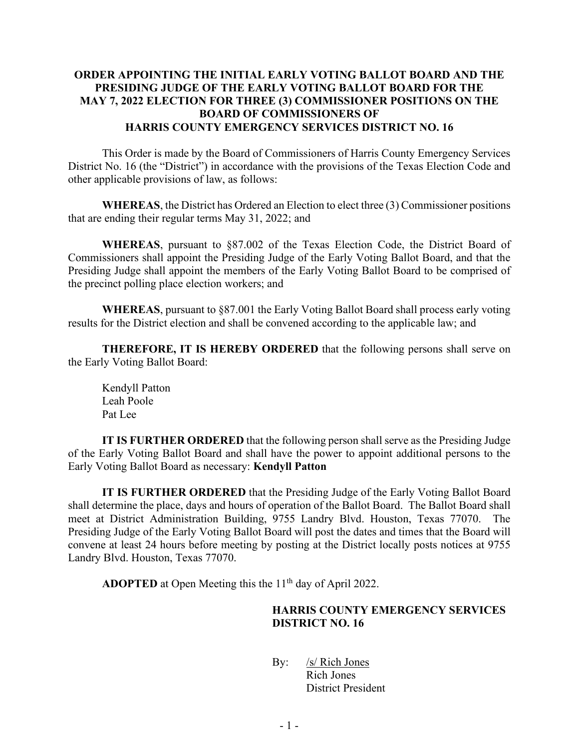## **ORDER APPOINTING THE INITIAL EARLY VOTING BALLOT BOARD AND THE PRESIDING JUDGE OF THE EARLY VOTING BALLOT BOARD FOR THE MAY 7, 2022 ELECTION FOR THREE (3) COMMISSIONER POSITIONS ON THE BOARD OF COMMISSIONERS OF HARRIS COUNTY EMERGENCY SERVICES DISTRICT NO. 16**

This Order is made by the Board of Commissioners of Harris County Emergency Services District No. 16 (the "District") in accordance with the provisions of the Texas Election Code and other applicable provisions of law, as follows:

**WHEREAS**, the District has Ordered an Election to elect three (3) Commissioner positions that are ending their regular terms May 31, 2022; and

**WHEREAS**, pursuant to §87.002 of the Texas Election Code, the District Board of Commissioners shall appoint the Presiding Judge of the Early Voting Ballot Board, and that the Presiding Judge shall appoint the members of the Early Voting Ballot Board to be comprised of the precinct polling place election workers; and

**WHEREAS**, pursuant to §87.001 the Early Voting Ballot Board shall process early voting results for the District election and shall be convened according to the applicable law; and

**THEREFORE, IT IS HEREBY ORDERED** that the following persons shall serve on the Early Voting Ballot Board:

Kendyll Patton Leah Poole Pat Lee

**IT IS FURTHER ORDERED** that the following person shall serve as the Presiding Judge of the Early Voting Ballot Board and shall have the power to appoint additional persons to the Early Voting Ballot Board as necessary: **Kendyll Patton**

**IT IS FURTHER ORDERED** that the Presiding Judge of the Early Voting Ballot Board shall determine the place, days and hours of operation of the Ballot Board. The Ballot Board shall meet at District Administration Building, 9755 Landry Blvd. Houston, Texas 77070. The Presiding Judge of the Early Voting Ballot Board will post the dates and times that the Board will convene at least 24 hours before meeting by posting at the District locally posts notices at 9755 Landry Blvd. Houston, Texas 77070.

**ADOPTED** at Open Meeting this the 11<sup>th</sup> day of April 2022.

## **HARRIS COUNTY EMERGENCY SERVICES DISTRICT NO. 16**

By: /s/ Rich Jones Rich Jones District President